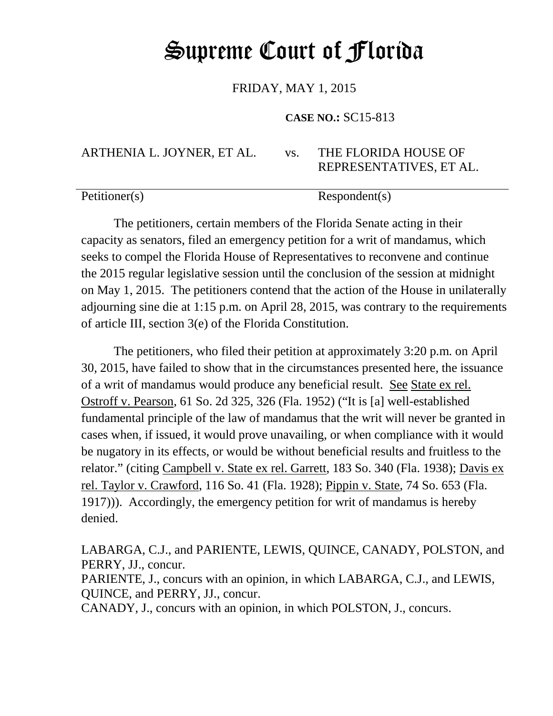## Supreme Court of Florida

FRIDAY, MAY 1, 2015

**CASE NO.:** SC15-813

ARTHENIA L. JOYNER, ET AL. vs. THE FLORIDA HOUSE OF REPRESENTATIVES, ET AL.

Petitioner(s) Respondent(s)

The petitioners, certain members of the Florida Senate acting in their capacity as senators, filed an emergency petition for a writ of mandamus, which seeks to compel the Florida House of Representatives to reconvene and continue the 2015 regular legislative session until the conclusion of the session at midnight on May 1, 2015. The petitioners contend that the action of the House in unilaterally adjourning sine die at 1:15 p.m. on April 28, 2015, was contrary to the requirements of article III, section 3(e) of the Florida Constitution.

The petitioners, who filed their petition at approximately 3:20 p.m. on April 30, 2015, have failed to show that in the circumstances presented here, the issuance of a writ of mandamus would produce any beneficial result. See State ex rel. Ostroff v. Pearson, 61 So. 2d 325, 326 (Fla. 1952) ("It is [a] well-established fundamental principle of the law of mandamus that the writ will never be granted in cases when, if issued, it would prove unavailing, or when compliance with it would be nugatory in its effects, or would be without beneficial results and fruitless to the relator." (citing Campbell v. State ex rel. Garrett, 183 So. 340 (Fla. 1938); Davis ex rel. Taylor v. Crawford, 116 So. 41 (Fla. 1928); Pippin v. State, 74 So. 653 (Fla. 1917))). Accordingly, the emergency petition for writ of mandamus is hereby denied.

LABARGA, C.J., and PARIENTE, LEWIS, QUINCE, CANADY, POLSTON, and PERRY, JJ., concur.

PARIENTE, J., concurs with an opinion, in which LABARGA, C.J., and LEWIS, QUINCE, and PERRY, JJ., concur.

CANADY, J., concurs with an opinion, in which POLSTON, J., concurs.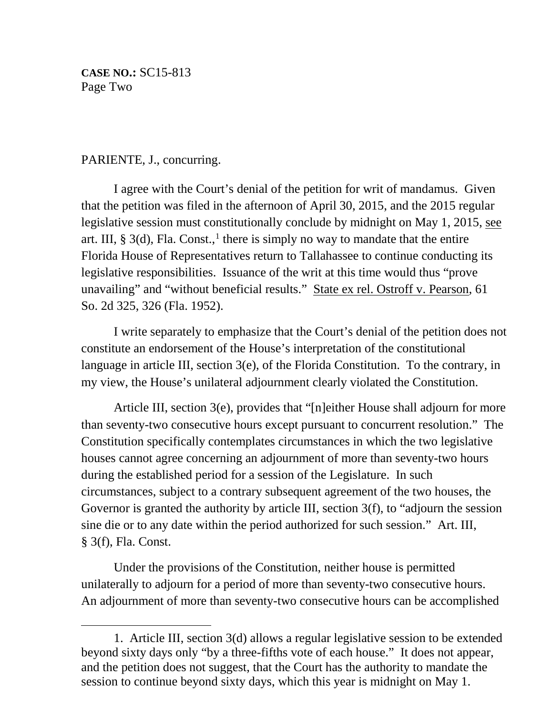**CASE NO.:** SC15-813 Page Two

## PARIENTE, J., concurring.

 $\overline{\phantom{a}}$ 

I agree with the Court's denial of the petition for writ of mandamus. Given that the petition was filed in the afternoon of April 30, 2015, and the 2015 regular legislative session must constitutionally conclude by midnight on May 1, 2015, see art. III,  $\S 3(d)$ , Fla. Const.,<sup>[1](#page-1-0)</sup> there is simply no way to mandate that the entire Florida House of Representatives return to Tallahassee to continue conducting its legislative responsibilities. Issuance of the writ at this time would thus "prove unavailing" and "without beneficial results." State ex rel. Ostroff v. Pearson, 61 So. 2d 325, 326 (Fla. 1952).

I write separately to emphasize that the Court's denial of the petition does not constitute an endorsement of the House's interpretation of the constitutional language in article III, section 3(e), of the Florida Constitution. To the contrary, in my view, the House's unilateral adjournment clearly violated the Constitution.

Article III, section 3(e), provides that "[n]either House shall adjourn for more than seventy-two consecutive hours except pursuant to concurrent resolution." The Constitution specifically contemplates circumstances in which the two legislative houses cannot agree concerning an adjournment of more than seventy-two hours during the established period for a session of the Legislature. In such circumstances, subject to a contrary subsequent agreement of the two houses, the Governor is granted the authority by article III, section 3(f), to "adjourn the session sine die or to any date within the period authorized for such session." Art. III, § 3(f), Fla. Const.

Under the provisions of the Constitution, neither house is permitted unilaterally to adjourn for a period of more than seventy-two consecutive hours. An adjournment of more than seventy-two consecutive hours can be accomplished

<span id="page-1-0"></span><sup>1.</sup> Article III, section 3(d) allows a regular legislative session to be extended beyond sixty days only "by a three-fifths vote of each house." It does not appear, and the petition does not suggest, that the Court has the authority to mandate the session to continue beyond sixty days, which this year is midnight on May 1.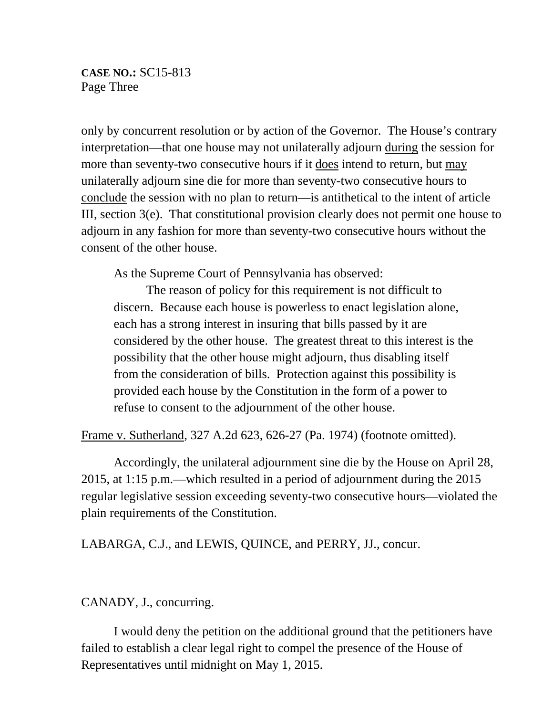only by concurrent resolution or by action of the Governor. The House's contrary interpretation—that one house may not unilaterally adjourn during the session for more than seventy-two consecutive hours if it does intend to return, but may unilaterally adjourn sine die for more than seventy-two consecutive hours to conclude the session with no plan to return—is antithetical to the intent of article III, section 3(e). That constitutional provision clearly does not permit one house to adjourn in any fashion for more than seventy-two consecutive hours without the consent of the other house.

As the Supreme Court of Pennsylvania has observed:

The reason of policy for this requirement is not difficult to discern. Because each house is powerless to enact legislation alone, each has a strong interest in insuring that bills passed by it are considered by the other house. The greatest threat to this interest is the possibility that the other house might adjourn, thus disabling itself from the consideration of bills. Protection against this possibility is provided each house by the Constitution in the form of a power to refuse to consent to the adjournment of the other house.

Frame v. Sutherland, 327 A.2d 623, 626-27 (Pa. 1974) (footnote omitted).

Accordingly, the unilateral adjournment sine die by the House on April 28, 2015, at 1:15 p.m.—which resulted in a period of adjournment during the 2015 regular legislative session exceeding seventy-two consecutive hours—violated the plain requirements of the Constitution.

LABARGA, C.J., and LEWIS, QUINCE, and PERRY, JJ., concur.

CANADY, J., concurring.

I would deny the petition on the additional ground that the petitioners have failed to establish a clear legal right to compel the presence of the House of Representatives until midnight on May 1, 2015.